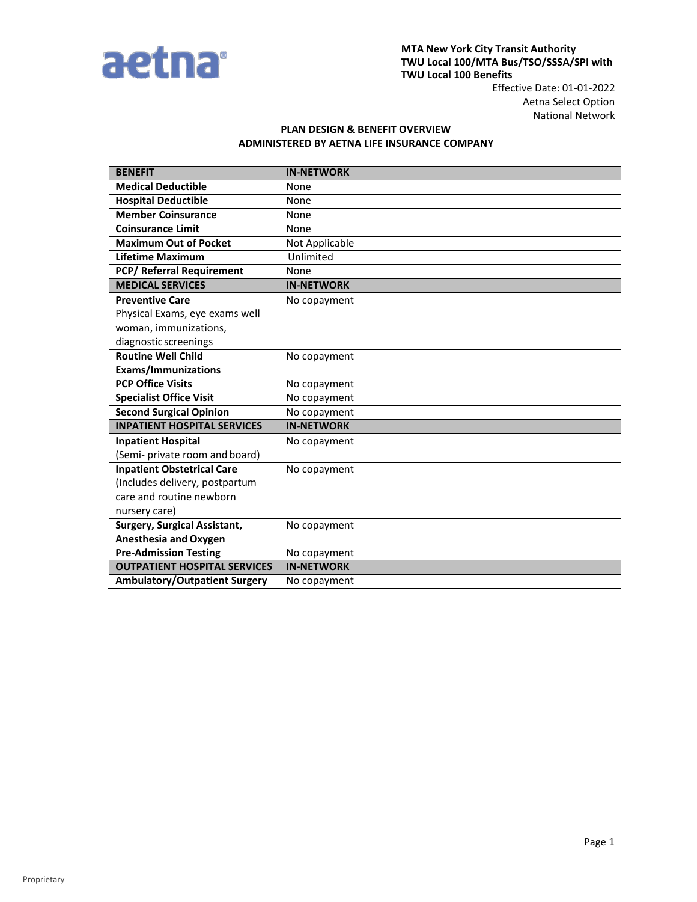

Aetna Select Option National Network

## **PLAN DESIGN & BENEFIT OVERVIEW ADMINISTERED BY AETNA LIFE INSURANCE COMPANY**

| <b>BENEFIT</b>                       | <b>IN-NETWORK</b> |
|--------------------------------------|-------------------|
| <b>Medical Deductible</b>            | None              |
| <b>Hospital Deductible</b>           | None              |
| <b>Member Coinsurance</b>            | None              |
| <b>Coinsurance Limit</b>             | None              |
| <b>Maximum Out of Pocket</b>         | Not Applicable    |
| Lifetime Maximum                     | Unlimited         |
| <b>PCP/ Referral Requirement</b>     | None              |
| <b>MEDICAL SERVICES</b>              | <b>IN-NETWORK</b> |
| <b>Preventive Care</b>               | No copayment      |
| Physical Exams, eye exams well       |                   |
| woman, immunizations,                |                   |
| diagnostic screenings                |                   |
| <b>Routine Well Child</b>            | No copayment      |
| <b>Exams/Immunizations</b>           |                   |
| <b>PCP Office Visits</b>             | No copayment      |
| <b>Specialist Office Visit</b>       | No copayment      |
| <b>Second Surgical Opinion</b>       | No copayment      |
| <b>INPATIENT HOSPITAL SERVICES</b>   | <b>IN-NETWORK</b> |
| <b>Inpatient Hospital</b>            | No copayment      |
| (Semi- private room and board)       |                   |
| <b>Inpatient Obstetrical Care</b>    | No copayment      |
| (Includes delivery, postpartum       |                   |
| care and routine newborn             |                   |
| nursery care)                        |                   |
| <b>Surgery, Surgical Assistant,</b>  | No copayment      |
| <b>Anesthesia and Oxygen</b>         |                   |
| <b>Pre-Admission Testing</b>         | No copayment      |
| <b>OUTPATIENT HOSPITAL SERVICES</b>  | <b>IN-NETWORK</b> |
| <b>Ambulatory/Outpatient Surgery</b> | No copayment      |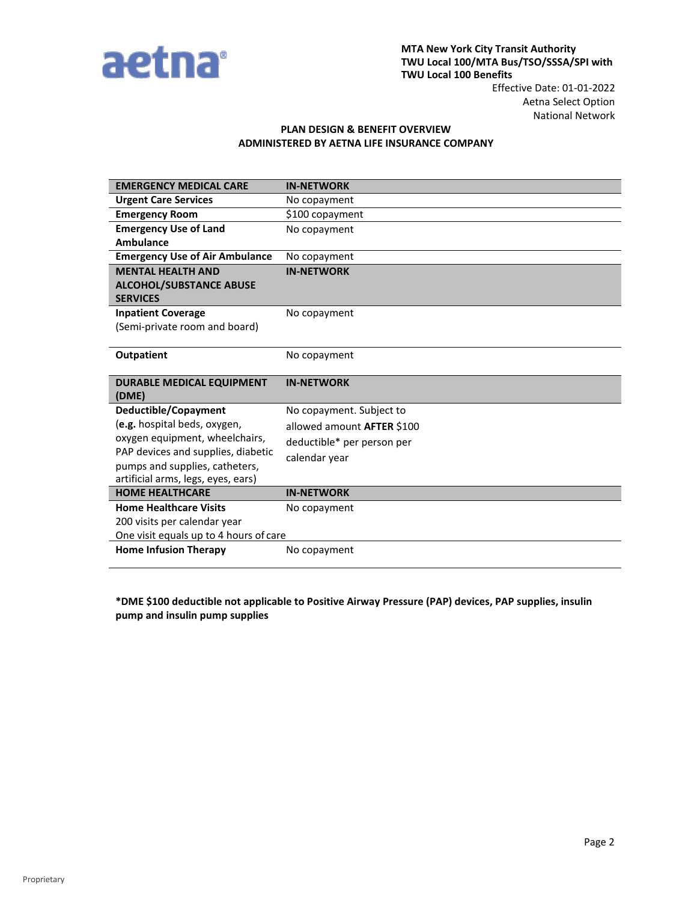

## National Network **PLAN DESIGN & BENEFIT OVERVIEW**

## **ADMINISTERED BY AETNA LIFE INSURANCE COMPANY**

| <b>EMERGENCY MEDICAL CARE</b>                                | <b>IN-NETWORK</b>                 |  |
|--------------------------------------------------------------|-----------------------------------|--|
| <b>Urgent Care Services</b>                                  | No copayment                      |  |
| <b>Emergency Room</b>                                        | \$100 copayment                   |  |
| <b>Emergency Use of Land</b>                                 | No copayment                      |  |
| <b>Ambulance</b>                                             |                                   |  |
| <b>Emergency Use of Air Ambulance</b>                        | No copayment                      |  |
| <b>MENTAL HEALTH AND</b>                                     | <b>IN-NETWORK</b>                 |  |
| <b>ALCOHOL/SUBSTANCE ABUSE</b>                               |                                   |  |
| <b>SERVICES</b>                                              |                                   |  |
| <b>Inpatient Coverage</b>                                    | No copayment                      |  |
| (Semi-private room and board)                                |                                   |  |
|                                                              |                                   |  |
| <b>Outpatient</b>                                            | No copayment                      |  |
|                                                              |                                   |  |
| <b>DURABLE MEDICAL EQUIPMENT</b>                             | <b>IN-NETWORK</b>                 |  |
| (DME)                                                        |                                   |  |
| Deductible/Copayment                                         | No copayment. Subject to          |  |
| (e.g. hospital beds, oxygen,                                 | allowed amount <b>AFTER</b> \$100 |  |
| oxygen equipment, wheelchairs,                               | deductible* per person per        |  |
| PAP devices and supplies, diabetic                           | calendar year                     |  |
| pumps and supplies, catheters,                               |                                   |  |
| artificial arms, legs, eyes, ears)<br><b>HOME HEALTHCARE</b> | <b>IN-NETWORK</b>                 |  |
|                                                              |                                   |  |
| <b>Home Healthcare Visits</b>                                | No copayment                      |  |
| 200 visits per calendar year                                 |                                   |  |
| One visit equals up to 4 hours of care                       |                                   |  |
| <b>Home Infusion Therapy</b>                                 | No copayment                      |  |

**\*DME \$100 deductible not applicable to Positive Airway Pressure (PAP) devices, PAP supplies, insulin pump and insulin pump supplies**